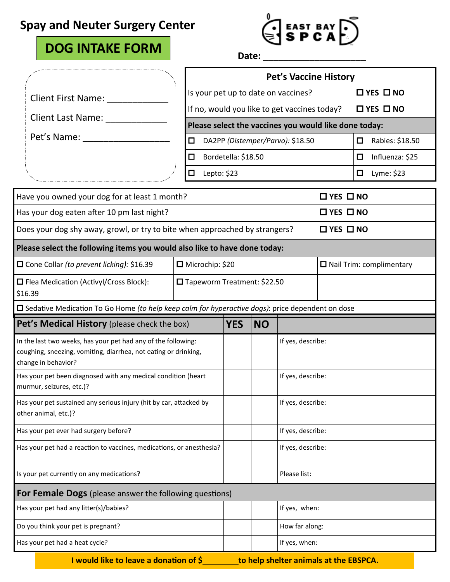### **Spay and Neuter Surgery Center**

## **DOG INTAKE FORM**

# $\begin{bmatrix}$  EAST BAY  $\begin{bmatrix} \bullet \\ \bullet \end{bmatrix}$

**Date: \_\_\_\_\_\_\_\_\_\_\_\_\_\_\_\_\_\_\_\_**

| Is your pet up to date on vaccines?<br>$\Box$ YES $\Box$ NO<br><b>Client First Name:</b><br>If no, would you like to get vaccines today?<br>$\Box$ YES $\Box$ NO<br>Client Last Name:<br>Please select the vaccines you would like done today:<br>Pet's Name:<br>Rabies: \$18.50<br>DA2PP (Distemper/Parvo): \$18.50<br>□<br>□<br>Bordetella: \$18.50<br>Influenza: \$25<br>□<br>□<br>Lyme: \$23<br>Lepto: \$23<br>□<br>□<br>$\Box$ YES $\Box$ NO<br>$\Box$ YES $\Box$ NO<br>$\Box$ YES $\Box$ NO<br>□ Microchip: \$20<br>$\Box$ Nail Trim: complimentary<br>□ Tapeworm Treatment: \$22.50<br>Pet's Medical History (please check the box)<br><b>YES</b><br><b>NO</b><br>If yes, describe:<br>In the last two weeks, has your pet had any of the following:<br>coughing, sneezing, vomiting, diarrhea, not eating or drinking,<br>Has your pet been diagnosed with any medical condition (heart<br>If yes, describe:<br>If yes, describe:<br>Has your pet sustained any serious injury (hit by car, attacked by<br>other animal, etc.)?<br>If yes, describe:<br>Has your pet ever had surgery before?<br>Has your pet had a reaction to vaccines, medications, or anesthesia?<br>If yes, describe:<br>Is your pet currently on any medications?<br>Please list:<br>For Female Dogs (please answer the following questions)<br>If yes, when:<br>Has your pet had any litter(s)/babies?<br>Do you think your pet is pregnant?<br>How far along:<br>If yes, when:<br>Has your pet had a heat cycle? |                                                                                                         |  | <b>Pet's Vaccine History</b> |  |  |  |  |  |
|--------------------------------------------------------------------------------------------------------------------------------------------------------------------------------------------------------------------------------------------------------------------------------------------------------------------------------------------------------------------------------------------------------------------------------------------------------------------------------------------------------------------------------------------------------------------------------------------------------------------------------------------------------------------------------------------------------------------------------------------------------------------------------------------------------------------------------------------------------------------------------------------------------------------------------------------------------------------------------------------------------------------------------------------------------------------------------------------------------------------------------------------------------------------------------------------------------------------------------------------------------------------------------------------------------------------------------------------------------------------------------------------------------------------------------------------------------------------------------------------------|---------------------------------------------------------------------------------------------------------|--|------------------------------|--|--|--|--|--|
|                                                                                                                                                                                                                                                                                                                                                                                                                                                                                                                                                                                                                                                                                                                                                                                                                                                                                                                                                                                                                                                                                                                                                                                                                                                                                                                                                                                                                                                                                                  |                                                                                                         |  |                              |  |  |  |  |  |
|                                                                                                                                                                                                                                                                                                                                                                                                                                                                                                                                                                                                                                                                                                                                                                                                                                                                                                                                                                                                                                                                                                                                                                                                                                                                                                                                                                                                                                                                                                  |                                                                                                         |  |                              |  |  |  |  |  |
|                                                                                                                                                                                                                                                                                                                                                                                                                                                                                                                                                                                                                                                                                                                                                                                                                                                                                                                                                                                                                                                                                                                                                                                                                                                                                                                                                                                                                                                                                                  |                                                                                                         |  |                              |  |  |  |  |  |
|                                                                                                                                                                                                                                                                                                                                                                                                                                                                                                                                                                                                                                                                                                                                                                                                                                                                                                                                                                                                                                                                                                                                                                                                                                                                                                                                                                                                                                                                                                  |                                                                                                         |  |                              |  |  |  |  |  |
|                                                                                                                                                                                                                                                                                                                                                                                                                                                                                                                                                                                                                                                                                                                                                                                                                                                                                                                                                                                                                                                                                                                                                                                                                                                                                                                                                                                                                                                                                                  |                                                                                                         |  |                              |  |  |  |  |  |
|                                                                                                                                                                                                                                                                                                                                                                                                                                                                                                                                                                                                                                                                                                                                                                                                                                                                                                                                                                                                                                                                                                                                                                                                                                                                                                                                                                                                                                                                                                  |                                                                                                         |  |                              |  |  |  |  |  |
|                                                                                                                                                                                                                                                                                                                                                                                                                                                                                                                                                                                                                                                                                                                                                                                                                                                                                                                                                                                                                                                                                                                                                                                                                                                                                                                                                                                                                                                                                                  | Have you owned your dog for at least 1 month?                                                           |  |                              |  |  |  |  |  |
|                                                                                                                                                                                                                                                                                                                                                                                                                                                                                                                                                                                                                                                                                                                                                                                                                                                                                                                                                                                                                                                                                                                                                                                                                                                                                                                                                                                                                                                                                                  | Has your dog eaten after 10 pm last night?                                                              |  |                              |  |  |  |  |  |
|                                                                                                                                                                                                                                                                                                                                                                                                                                                                                                                                                                                                                                                                                                                                                                                                                                                                                                                                                                                                                                                                                                                                                                                                                                                                                                                                                                                                                                                                                                  | Does your dog shy away, growl, or try to bite when approached by strangers?                             |  |                              |  |  |  |  |  |
|                                                                                                                                                                                                                                                                                                                                                                                                                                                                                                                                                                                                                                                                                                                                                                                                                                                                                                                                                                                                                                                                                                                                                                                                                                                                                                                                                                                                                                                                                                  | Please select the following items you would also like to have done today:                               |  |                              |  |  |  |  |  |
|                                                                                                                                                                                                                                                                                                                                                                                                                                                                                                                                                                                                                                                                                                                                                                                                                                                                                                                                                                                                                                                                                                                                                                                                                                                                                                                                                                                                                                                                                                  | □ Cone Collar (to prevent licking): \$16.39                                                             |  |                              |  |  |  |  |  |
|                                                                                                                                                                                                                                                                                                                                                                                                                                                                                                                                                                                                                                                                                                                                                                                                                                                                                                                                                                                                                                                                                                                                                                                                                                                                                                                                                                                                                                                                                                  | □ Flea Medication (Activyl/Cross Block):<br>\$16.39                                                     |  |                              |  |  |  |  |  |
|                                                                                                                                                                                                                                                                                                                                                                                                                                                                                                                                                                                                                                                                                                                                                                                                                                                                                                                                                                                                                                                                                                                                                                                                                                                                                                                                                                                                                                                                                                  | $\Box$ Sedative Medication To Go Home (to help keep calm for hyperactive dogs): price dependent on dose |  |                              |  |  |  |  |  |
|                                                                                                                                                                                                                                                                                                                                                                                                                                                                                                                                                                                                                                                                                                                                                                                                                                                                                                                                                                                                                                                                                                                                                                                                                                                                                                                                                                                                                                                                                                  |                                                                                                         |  |                              |  |  |  |  |  |
|                                                                                                                                                                                                                                                                                                                                                                                                                                                                                                                                                                                                                                                                                                                                                                                                                                                                                                                                                                                                                                                                                                                                                                                                                                                                                                                                                                                                                                                                                                  | change in behavior?                                                                                     |  |                              |  |  |  |  |  |
|                                                                                                                                                                                                                                                                                                                                                                                                                                                                                                                                                                                                                                                                                                                                                                                                                                                                                                                                                                                                                                                                                                                                                                                                                                                                                                                                                                                                                                                                                                  | murmur, seizures, etc.)?                                                                                |  |                              |  |  |  |  |  |
|                                                                                                                                                                                                                                                                                                                                                                                                                                                                                                                                                                                                                                                                                                                                                                                                                                                                                                                                                                                                                                                                                                                                                                                                                                                                                                                                                                                                                                                                                                  |                                                                                                         |  |                              |  |  |  |  |  |
|                                                                                                                                                                                                                                                                                                                                                                                                                                                                                                                                                                                                                                                                                                                                                                                                                                                                                                                                                                                                                                                                                                                                                                                                                                                                                                                                                                                                                                                                                                  |                                                                                                         |  |                              |  |  |  |  |  |
|                                                                                                                                                                                                                                                                                                                                                                                                                                                                                                                                                                                                                                                                                                                                                                                                                                                                                                                                                                                                                                                                                                                                                                                                                                                                                                                                                                                                                                                                                                  |                                                                                                         |  |                              |  |  |  |  |  |
|                                                                                                                                                                                                                                                                                                                                                                                                                                                                                                                                                                                                                                                                                                                                                                                                                                                                                                                                                                                                                                                                                                                                                                                                                                                                                                                                                                                                                                                                                                  |                                                                                                         |  |                              |  |  |  |  |  |
|                                                                                                                                                                                                                                                                                                                                                                                                                                                                                                                                                                                                                                                                                                                                                                                                                                                                                                                                                                                                                                                                                                                                                                                                                                                                                                                                                                                                                                                                                                  |                                                                                                         |  |                              |  |  |  |  |  |
|                                                                                                                                                                                                                                                                                                                                                                                                                                                                                                                                                                                                                                                                                                                                                                                                                                                                                                                                                                                                                                                                                                                                                                                                                                                                                                                                                                                                                                                                                                  |                                                                                                         |  |                              |  |  |  |  |  |
|                                                                                                                                                                                                                                                                                                                                                                                                                                                                                                                                                                                                                                                                                                                                                                                                                                                                                                                                                                                                                                                                                                                                                                                                                                                                                                                                                                                                                                                                                                  |                                                                                                         |  |                              |  |  |  |  |  |
|                                                                                                                                                                                                                                                                                                                                                                                                                                                                                                                                                                                                                                                                                                                                                                                                                                                                                                                                                                                                                                                                                                                                                                                                                                                                                                                                                                                                                                                                                                  |                                                                                                         |  |                              |  |  |  |  |  |

**I** would like to leave a donation of \$\_\_\_\_\_\_\_\_\_\_to help shelter animals at the EBSPCA.